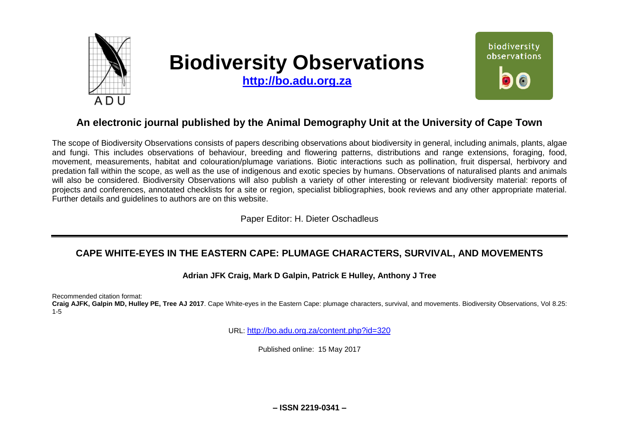

# **Biodiversity Observations**

**[http://bo.adu.org.za](http://bo.adu.org.za/)**



# **An electronic journal published by the Animal Demography Unit at the University of Cape Town**

The scope of Biodiversity Observations consists of papers describing observations about biodiversity in general, including animals, plants, algae and fungi. This includes observations of behaviour, breeding and flowering patterns, distributions and range extensions, foraging, food, movement, measurements, habitat and colouration/plumage variations. Biotic interactions such as pollination, fruit dispersal, herbivory and predation fall within the scope, as well as the use of indigenous and exotic species by humans. Observations of naturalised plants and animals will also be considered. Biodiversity Observations will also publish a variety of other interesting or relevant biodiversity material: reports of projects and conferences, annotated checklists for a site or region, specialist bibliographies, book reviews and any other appropriate material. Further details and guidelines to authors are on this website.

Paper Editor: H. Dieter Oschadleus

# **CAPE WHITE-EYES IN THE EASTERN CAPE: PLUMAGE CHARACTERS, SURVIVAL, AND MOVEMENTS**

## **Adrian JFK Craig, Mark D Galpin, Patrick E Hulley, Anthony J Tree**

Recommended citation format:

**Craig AJFK, Galpin MD, Hulley PE, Tree AJ 2017**. Cape White-eyes in the Eastern Cape: plumage characters, survival, and movements. Biodiversity Observations, Vol 8.25: 1-5

URL: <http://bo.adu.org.za/content.php?id=320>

Published online: 15 May 2017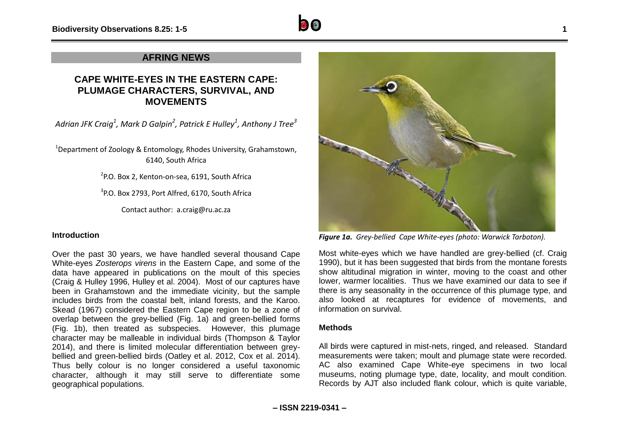## **AFRING NEWS**

## **CAPE WHITE-EYES IN THE EASTERN CAPE: PLUMAGE CHARACTERS, SURVIVAL, AND MOVEMENTS**

*Adrian JFK Craig<sup>1</sup> , Mark D Galpin<sup>2</sup> , Patrick E Hulley<sup>1</sup> , Anthony J Tree<sup>3</sup>*

<sup>1</sup>Department of Zoology & Entomology, Rhodes University, Grahamstown, 6140, South Africa

2 P.O. Box 2, Kenton-on-sea, 6191, South Africa

 $3$ P.O. Box 2793, Port Alfred, 6170, South Africa

Contact author: [a.craig@ru.ac.za](mailto:a.craig@ru.ac.za)

## **Introduction**

Over the past 30 years, we have handled several thousand Cape White-eyes *Zosterops virens* in the Eastern Cape, and some of the data have appeared in publications on the moult of this species (Craig & Hulley 1996, Hulley et al. 2004). Most of our captures have been in Grahamstown and the immediate vicinity, but the sample includes birds from the coastal belt, inland forests, and the Karoo. Skead (1967) considered the Eastern Cape region to be a zone of overlap between the grey-bellied (Fig. 1a) and green-bellied forms (Fig. 1b), then treated as subspecies. However, this plumage character may be malleable in individual birds (Thompson & Taylor 2014), and there is limited molecular differentiation between greybellied and green-bellied birds (Oatley et al. 2012, Cox et al. 2014). Thus belly colour is no longer considered a useful taxonomic character, although it may still serve to differentiate some geographical populations.



*Figure 1a. Grey-bellied Cape White-eyes (photo: Warwick Tarboton).*

Most white-eyes which we have handled are grey-bellied (cf. Craig 1990), but it has been suggested that birds from the montane forests show altitudinal migration in winter, moving to the coast and other lower, warmer localities. Thus we have examined our data to see if there is any seasonality in the occurrence of this plumage type, and also looked at recaptures for evidence of movements, and information on survival.

#### **Methods**

All birds were captured in mist-nets, ringed, and released. Standard measurements were taken; moult and plumage state were recorded. AC also examined Cape White-eye specimens in two local museums, noting plumage type, date, locality, and moult condition. Records by AJT also included flank colour, which is quite variable,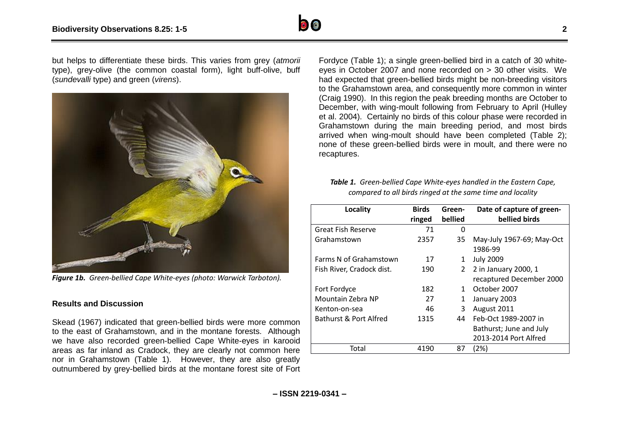

but helps to differentiate these birds. This varies from grey (*atmorii* type), grey-olive (the common coastal form), light buff-olive, buff (*sundevalli* type) and green (*virens*).



*Figure 1b. Green-bellied Cape White-eyes (photo: Warwick Tarboton).*

## **Results and Discussion**

Skead (1967) indicated that green-bellied birds were more common to the east of Grahamstown, and in the montane forests. Although we have also recorded green-bellied Cape White-eyes in karooid areas as far inland as Cradock, they are clearly not common here nor in Grahamstown (Table 1). However, they are also greatly outnumbered by grey-bellied birds at the montane forest site of Fort

Fordyce (Table 1); a single green-bellied bird in a catch of 30 whiteeyes in October 2007 and none recorded on > 30 other visits. We had expected that green-bellied birds might be non-breeding visitors to the Grahamstown area, and consequently more common in winter (Craig 1990). In this region the peak breeding months are October to December, with wing-moult following from February to April (Hulley et al. 2004). Certainly no birds of this colour phase were recorded in Grahamstown during the main breeding period, and most birds arrived when wing-moult should have been completed (Table 2); none of these green-bellied birds were in moult, and there were no recaptures.

*Table 1. Green-bellied Cape White-eyes handled in the Eastern Cape, compared to all birds ringed at the same time and locality*

| Locality                  | <b>Birds</b><br>ringed | Green-<br>bellied | Date of capture of green-<br>bellied birds |
|---------------------------|------------------------|-------------------|--------------------------------------------|
| <b>Great Fish Reserve</b> | 71                     | <sup>0</sup>      |                                            |
| Grahamstown               | 2357                   | 35                | May-July 1967-69; May-Oct                  |
|                           |                        |                   | 1986-99                                    |
| Farms N of Grahamstown    | 17                     | 1                 | <b>July 2009</b>                           |
| Fish River, Cradock dist. | 190                    | 2                 | 2 in January 2000, 1                       |
|                           |                        |                   | recaptured December 2000                   |
| Fort Fordyce              | 182                    | 1                 | October 2007                               |
| Mountain Zebra NP         | 27                     | 1                 | January 2003                               |
| Kenton-on-sea             | 46                     | 3                 | August 2011                                |
| Bathurst & Port Alfred    | 1315                   | 44                | Feb-Oct 1989-2007 in                       |
|                           |                        |                   | Bathurst; June and July                    |
|                           |                        |                   | 2013-2014 Port Alfred                      |
| Total                     | 4190                   | 87                | (2%)                                       |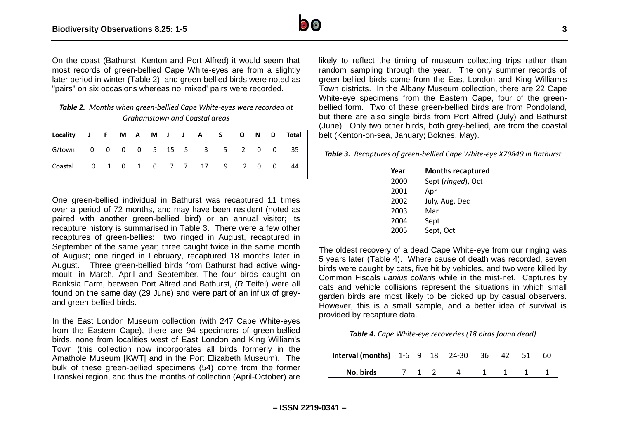On the coast (Bathurst, Kenton and Port Alfred) it would seem that most records of green-bellied Cape White-eyes are from a slightly later period in winter (Table 2), and green-bellied birds were noted as "pairs" on six occasions whereas no 'mixed' pairs were recorded.

| Table 2. Months when green-bellied Cape White-eyes were recorded at |
|---------------------------------------------------------------------|
| Grahamstown and Coastal areas                                       |

| Locality J F M A M J J A S O N D Total |  |  |  |  |  |  |  |
|----------------------------------------|--|--|--|--|--|--|--|
|                                        |  |  |  |  |  |  |  |
|                                        |  |  |  |  |  |  |  |

One green-bellied individual in Bathurst was recaptured 11 times over a period of 72 months, and may have been resident (noted as paired with another green-bellied bird) or an annual visitor; its recapture history is summarised in Table 3. There were a few other recaptures of green-bellies: two ringed in August, recaptured in September of the same year; three caught twice in the same month of August; one ringed in February, recaptured 18 months later in August. Three green-bellied birds from Bathurst had active wingmoult; in March, April and September. The four birds caught on Banksia Farm, between Port Alfred and Bathurst, (R Teifel) were all found on the same day (29 June) and were part of an influx of greyand green-bellied birds.

In the East London Museum collection (with 247 Cape White-eyes from the Eastern Cape), there are 94 specimens of green-bellied birds, none from localities west of East London and King William's Town (this collection now incorporates all birds formerly in the Amathole Museum [KWT] and in the Port Elizabeth Museum). The bulk of these green-bellied specimens (54) come from the former Transkei region, and thus the months of collection (April-October) are

likely to reflect the timing of museum collecting trips rather than random sampling through the year. The only summer records of green-bellied birds come from the East London and King William's Town districts. In the Albany Museum collection, there are 22 Cape White-eye specimens from the Eastern Cape, four of the greenbellied form. Two of these green-bellied birds are from Pondoland, but there are also single birds from Port Alfred (July) and Bathurst (June). Only two other birds, both grey-bellied, are from the coastal belt (Kenton-on-sea, January; Boknes, May).

*Table 3. Recaptures of green-bellied Cape White-eye X79849 in Bathurst*

| Year | <b>Months recaptured</b> |
|------|--------------------------|
| 2000 | Sept (ringed), Oct       |
| 2001 | Apr                      |
| 2002 | July, Aug, Dec           |
| 2003 | Mar                      |
| 2004 | Sept                     |
| 2005 | Sept, Oct                |

The oldest recovery of a dead Cape White-eye from our ringing was 5 years later (Table 4). Where cause of death was recorded, seven birds were caught by cats, five hit by vehicles, and two were killed by Common Fiscals *Lanius collaris* while in the mist-net. Captures by cats and vehicle collisions represent the situations in which small garden birds are most likely to be picked up by casual observers. However, this is a small sample, and a better idea of survival is provided by recapture data.

*Table 4. Cape White-eye recoveries (18 birds found dead)*

| Interval (months) $1-6$ 9 18 24-30 36 42 51 |  |         |  |         | -60 |
|---------------------------------------------|--|---------|--|---------|-----|
| No. birds                                   |  | 7 1 2 4 |  | 1 1 1 1 |     |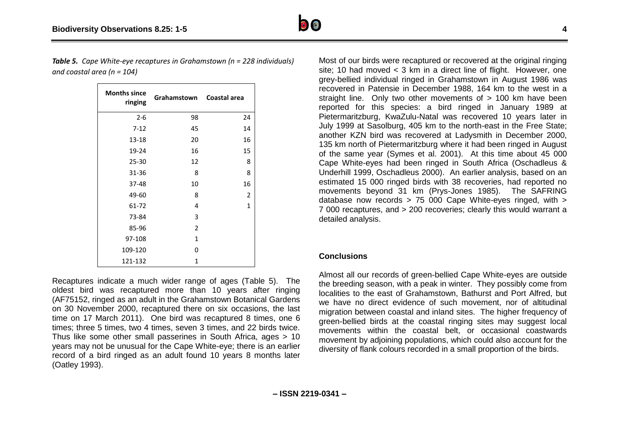*Table 5. Cape White-eye recaptures in Grahamstown (n = 228 individuals) and coastal area (n = 104)*

| <b>Months since</b><br>ringing | Grahamstown    | Coastal area |
|--------------------------------|----------------|--------------|
| $2 - 6$                        | 98             | 24           |
| $7 - 12$                       | 45             | 14           |
| $13 - 18$                      | 20             | 16           |
| 19-24                          | 16             | 15           |
| 25-30                          | 12             | 8            |
| 31-36                          | 8              | 8            |
| 37-48                          | 10             | 16           |
| 49-60                          | 8              | 2            |
| 61-72                          | 4              | $\mathbf{1}$ |
| 73-84                          | 3              |              |
| 85-96                          | $\overline{2}$ |              |
| 97-108                         | $\mathbf{1}$   |              |
| 109-120                        | 0              |              |
| 121-132                        | 1              |              |

Recaptures indicate a much wider range of ages (Table 5). The oldest bird was recaptured more than 10 years after ringing (AF75152, ringed as an adult in the Grahamstown Botanical Gardens on 30 November 2000, recaptured there on six occasions, the last time on 17 March 2011). One bird was recaptured 8 times, one 6 times; three 5 times, two 4 times, seven 3 times, and 22 birds twice. Thus like some other small passerines in South Africa, ages > 10 years may not be unusual for the Cape White-eye; there is an earlier record of a bird ringed as an adult found 10 years 8 months later (Oatley 1993).

site; 10 had moved < 3 km in a direct line of flight. However, one grey-bellied individual ringed in Grahamstown in August 1986 was recovered in Patensie in December 1988, 164 km to the west in a straight line. Only two other movements of  $> 100$  km have been reported for this species: a bird ringed in January 1989 at Pietermaritzburg, KwaZulu-Natal was recovered 10 years later in July 1999 at Sasolburg, 405 km to the north-east in the Free State; another KZN bird was recovered at Ladysmith in December 2000, 135 km north of Pietermaritzburg where it had been ringed in August of the same year (Symes et al. 2001). At this time about 45 000 Cape White-eyes had been ringed in South Africa (Oschadleus & Underhill 1999, Oschadleus 2000). An earlier analysis, based on an estimated 15 000 ringed birds with 38 recoveries, had reported no movements beyond 31 km (Prys-Jones 1985). The SAFRING database now records > 75 000 Cape White-eyes ringed, with > 7 000 recaptures, and > 200 recoveries; clearly this would warrant a detailed analysis.

Most of our birds were recaptured or recovered at the original ringing

#### **Conclusions**

Almost all our records of green-bellied Cape White-eyes are outside the breeding season, with a peak in winter. They possibly come from localities to the east of Grahamstown, Bathurst and Port Alfred, but we have no direct evidence of such movement, nor of altitudinal migration between coastal and inland sites. The higher frequency of green-bellied birds at the coastal ringing sites may suggest local movements within the coastal belt, or occasional coastwards movement by adjoining populations, which could also account for the diversity of flank colours recorded in a small proportion of the birds.